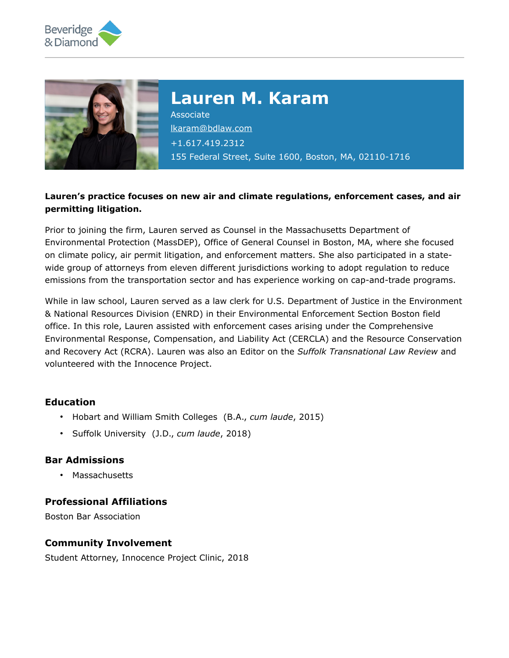



# **Lauren M. Karam**

Associate [lkaram@bdlaw.com](mailto:lkaram@bdlaw.com) +1.617.419.2312 155 Federal Street, Suite 1600, Boston, MA, 02110-1716

### **Lauren's practice focuses on new air and climate regulations, enforcement cases, and air permitting litigation.**

Prior to joining the firm, Lauren served as Counsel in the Massachusetts Department of Environmental Protection (MassDEP), Office of General Counsel in Boston, MA, where she focused on climate policy, air permit litigation, and enforcement matters. She also participated in a statewide group of attorneys from eleven different jurisdictions working to adopt regulation to reduce emissions from the transportation sector and has experience working on cap-and-trade programs.

While in law school, Lauren served as a law clerk for U.S. Department of Justice in the Environment & National Resources Division (ENRD) in their Environmental Enforcement Section Boston field office. In this role, Lauren assisted with enforcement cases arising under the Comprehensive Environmental Response, Compensation, and Liability Act (CERCLA) and the Resource Conservation and Recovery Act (RCRA). Lauren was also an Editor on the *Suffolk Transnational Law Review* and volunteered with the Innocence Project.

### **Education**

- Hobart and William Smith Colleges (B.A., *cum laude*, 2015)
- Suffolk University (J.D., *cum laude*, 2018)

### **Bar Admissions**

• Massachusetts

### **Professional Affiliations**

Boston Bar Association

#### **Community Involvement**

Student Attorney, Innocence Project Clinic, 2018